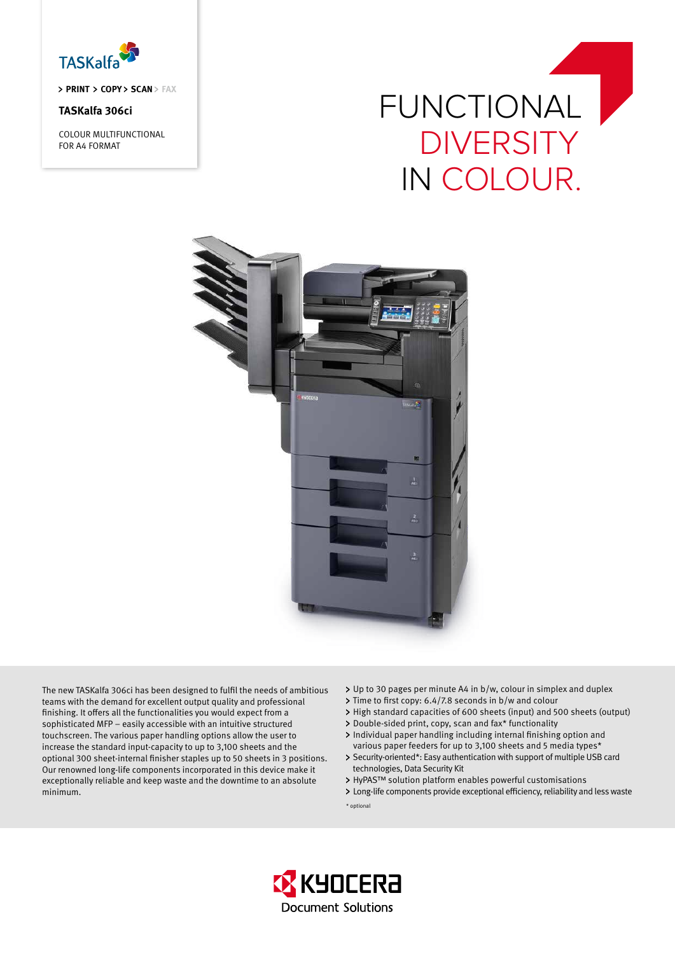

> PRINT > COPY > SCAN > FAX

# **TASKalfa 306ci**

COLOUR MULTIFUNCTIONAL FOR A4 FORMAT

# FUNCTIONAL **DIVERSITY** IN COLOUR.



The new TASKalfa 306ci has been designed to fulfil the needs of ambitious teams with the demand for excellent output quality and professional finishing. It offers all the functionalities you would expect from a sophisticated MFP – easily accessible with an intuitive structured touchscreen. The various paper handling options allow the user to increase the standard input-capacity to up to 3,100 sheets and the optional 300 sheet-internal finisher staples up to 50 sheets in 3 positions. Our renowned long-life components incorporated in this device make it exceptionally reliable and keep waste and the downtime to an absolute minimum.

- Up to 30 pages per minute A4 in b/w, colour in simplex and duplex
- > Time to first copy: 6.4/7.8 seconds in b/w and colour
- High standard capacities of 600 sheets (input) and 500 sheets (output)
- Double-sided print, copy, scan and fax\* functionality
- Individual paper handling including internal finishing option and various paper feeders for up to 3,100 sheets and 5 media types\*
- > Security-oriented\*: Easy authentication with support of multiple USB card technologies, Data Security Kit
- HyPAS™ solution platform enables powerful customisations
- Long-life components provide exceptional efficiency, reliability and less waste \* optional